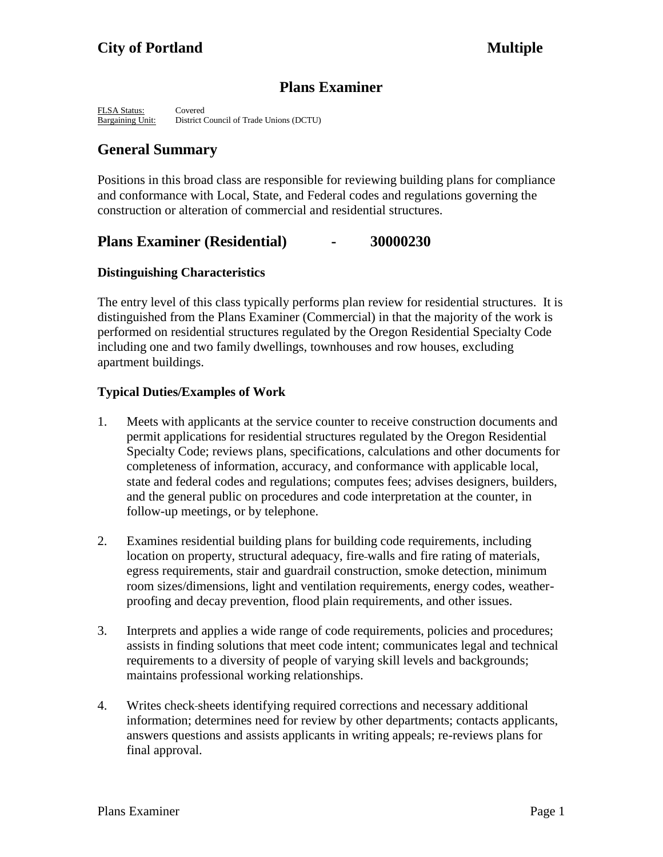# **Plans Examiner**

FLSA Status: Covered<br>
Bargaining Unit: District C District Council of Trade Unions (DCTU)

# **General Summary**

Positions in this broad class are responsible for reviewing building plans for compliance and conformance with Local, State, and Federal codes and regulations governing the construction or alteration of commercial and residential structures.

# **Plans Examiner (Residential) - 30000230**

# **Distinguishing Characteristics**

The entry level of this class typically performs plan review for residential structures. It is distinguished from the Plans Examiner (Commercial) in that the majority of the work is performed on residential structures regulated by the Oregon Residential Specialty Code including one and two family dwellings, townhouses and row houses, excluding apartment buildings.

# **Typical Duties/Examples of Work**

- 1. Meets with applicants at the service counter to receive construction documents and permit applications for residential structures regulated by the Oregon Residential Specialty Code; reviews plans, specifications, calculations and other documents for completeness of information, accuracy, and conformance with applicable local, state and federal codes and regulations; computes fees; advises designers, builders, and the general public on procedures and code interpretation at the counter, in follow-up meetings, or by telephone.
- 2. Examines residential building plans for building code requirements, including location on property, structural adequacy, fire walls and fire rating of materials, egress requirements, stair and guardrail construction, smoke detection, minimum room sizes/dimensions, light and ventilation requirements, energy codes, weatherproofing and decay prevention, flood plain requirements, and other issues.
- 3. Interprets and applies a wide range of code requirements, policies and procedures; assists in finding solutions that meet code intent; communicates legal and technical requirements to a diversity of people of varying skill levels and backgrounds; maintains professional working relationships.
- 4. Writes check sheets identifying required corrections and necessary additional information; determines need for review by other departments; contacts applicants, answers questions and assists applicants in writing appeals; re-reviews plans for final approval.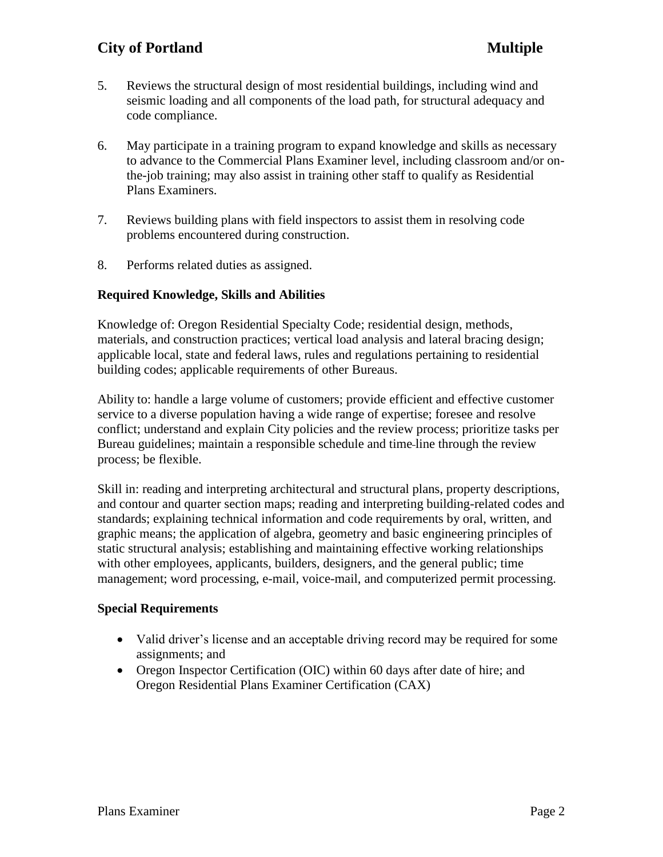# **City of Portland Multiple**

- 5. Reviews the structural design of most residential buildings, including wind and seismic loading and all components of the load path, for structural adequacy and code compliance.
- 6. May participate in a training program to expand knowledge and skills as necessary to advance to the Commercial Plans Examiner level, including classroom and/or onthe-job training; may also assist in training other staff to qualify as Residential Plans Examiners.
- 7. Reviews building plans with field inspectors to assist them in resolving code problems encountered during construction.
- 8. Performs related duties as assigned.

# **Required Knowledge, Skills and Abilities**

Knowledge of: Oregon Residential Specialty Code; residential design, methods, materials, and construction practices; vertical load analysis and lateral bracing design; applicable local, state and federal laws, rules and regulations pertaining to residential building codes; applicable requirements of other Bureaus.

Ability to: handle a large volume of customers; provide efficient and effective customer service to a diverse population having a wide range of expertise; foresee and resolve conflict; understand and explain City policies and the review process; prioritize tasks per Bureau guidelines; maintain a responsible schedule and time line through the review process; be flexible.

Skill in: reading and interpreting architectural and structural plans, property descriptions, and contour and quarter section maps; reading and interpreting building-related codes and standards; explaining technical information and code requirements by oral, written, and graphic means; the application of algebra, geometry and basic engineering principles of static structural analysis; establishing and maintaining effective working relationships with other employees, applicants, builders, designers, and the general public; time management; word processing, e-mail, voice-mail, and computerized permit processing.

### **Special Requirements**

- Valid driver's license and an acceptable driving record may be required for some assignments; and
- Oregon Inspector Certification (OIC) within 60 days after date of hire; and Oregon Residential Plans Examiner Certification (CAX)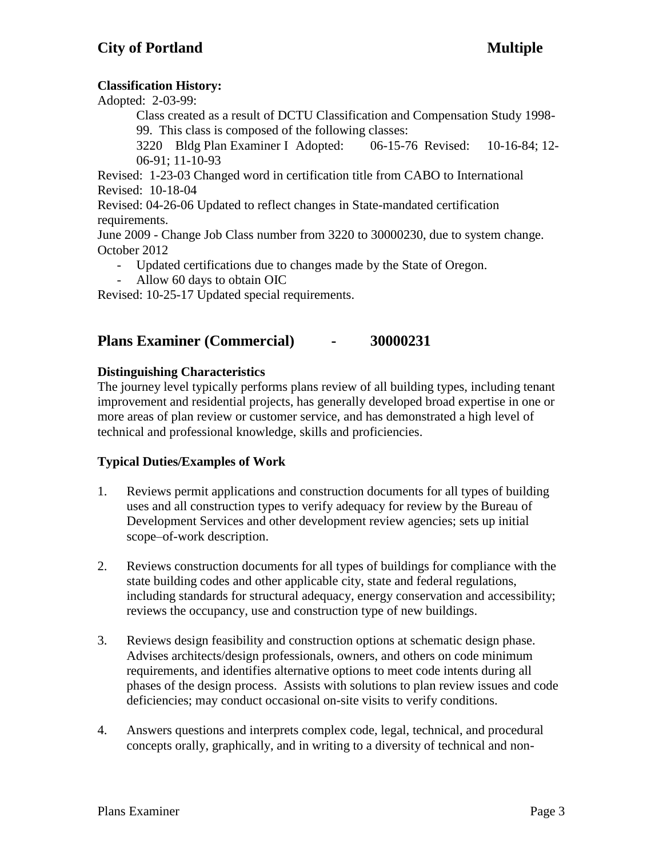# **Classification History:**

Adopted: 2-03-99:

Class created as a result of DCTU Classification and Compensation Study 1998- 99. This class is composed of the following classes:

3220 Bldg Plan Examiner I Adopted: 06-15-76 Revised: 10-16-84; 12- 06-91; 11-10-93

Revised: 1-23-03 Changed word in certification title from CABO to International Revised: 10-18-04

Revised: 04-26-06 Updated to reflect changes in State-mandated certification requirements.

June 2009 - Change Job Class number from 3220 to 30000230, due to system change. October 2012

- Updated certifications due to changes made by the State of Oregon.
- Allow 60 days to obtain OIC

Revised: 10-25-17 Updated special requirements.

# **Plans Examiner (Commercial) - 30000231**

# **Distinguishing Characteristics**

The journey level typically performs plans review of all building types, including tenant improvement and residential projects, has generally developed broad expertise in one or more areas of plan review or customer service, and has demonstrated a high level of technical and professional knowledge, skills and proficiencies.

# **Typical Duties/Examples of Work**

- 1. Reviews permit applications and construction documents for all types of building uses and all construction types to verify adequacy for review by the Bureau of Development Services and other development review agencies; sets up initial scope–of-work description.
- 2. Reviews construction documents for all types of buildings for compliance with the state building codes and other applicable city, state and federal regulations, including standards for structural adequacy, energy conservation and accessibility; reviews the occupancy, use and construction type of new buildings.
- 3. Reviews design feasibility and construction options at schematic design phase. Advises architects/design professionals, owners, and others on code minimum requirements, and identifies alternative options to meet code intents during all phases of the design process. Assists with solutions to plan review issues and code deficiencies; may conduct occasional on-site visits to verify conditions.
- 4. Answers questions and interprets complex code, legal, technical, and procedural concepts orally, graphically, and in writing to a diversity of technical and non-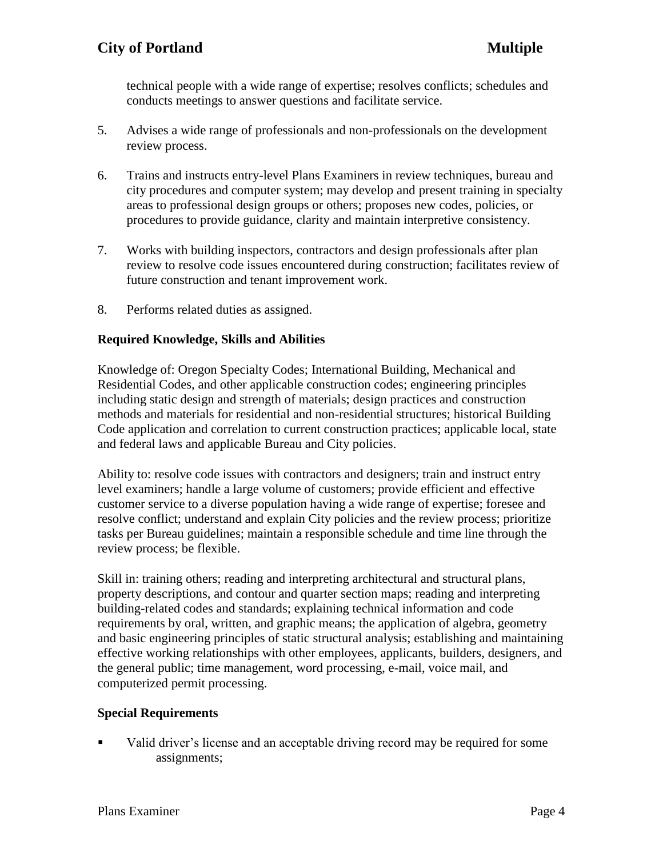technical people with a wide range of expertise; resolves conflicts; schedules and conducts meetings to answer questions and facilitate service.

- 5. Advises a wide range of professionals and non-professionals on the development review process.
- 6. Trains and instructs entry-level Plans Examiners in review techniques, bureau and city procedures and computer system; may develop and present training in specialty areas to professional design groups or others; proposes new codes, policies, or procedures to provide guidance, clarity and maintain interpretive consistency.
- 7. Works with building inspectors, contractors and design professionals after plan review to resolve code issues encountered during construction; facilitates review of future construction and tenant improvement work.
- 8. Performs related duties as assigned.

# **Required Knowledge, Skills and Abilities**

Knowledge of: Oregon Specialty Codes; International Building, Mechanical and Residential Codes, and other applicable construction codes; engineering principles including static design and strength of materials; design practices and construction methods and materials for residential and non-residential structures; historical Building Code application and correlation to current construction practices; applicable local, state and federal laws and applicable Bureau and City policies.

Ability to: resolve code issues with contractors and designers; train and instruct entry level examiners; handle a large volume of customers; provide efficient and effective customer service to a diverse population having a wide range of expertise; foresee and resolve conflict; understand and explain City policies and the review process; prioritize tasks per Bureau guidelines; maintain a responsible schedule and time line through the review process; be flexible.

Skill in: training others; reading and interpreting architectural and structural plans, property descriptions, and contour and quarter section maps; reading and interpreting building-related codes and standards; explaining technical information and code requirements by oral, written, and graphic means; the application of algebra, geometry and basic engineering principles of static structural analysis; establishing and maintaining effective working relationships with other employees, applicants, builders, designers, and the general public; time management, word processing, e-mail, voice mail, and computerized permit processing.

### **Special Requirements**

Valid driver's license and an acceptable driving record may be required for some assignments;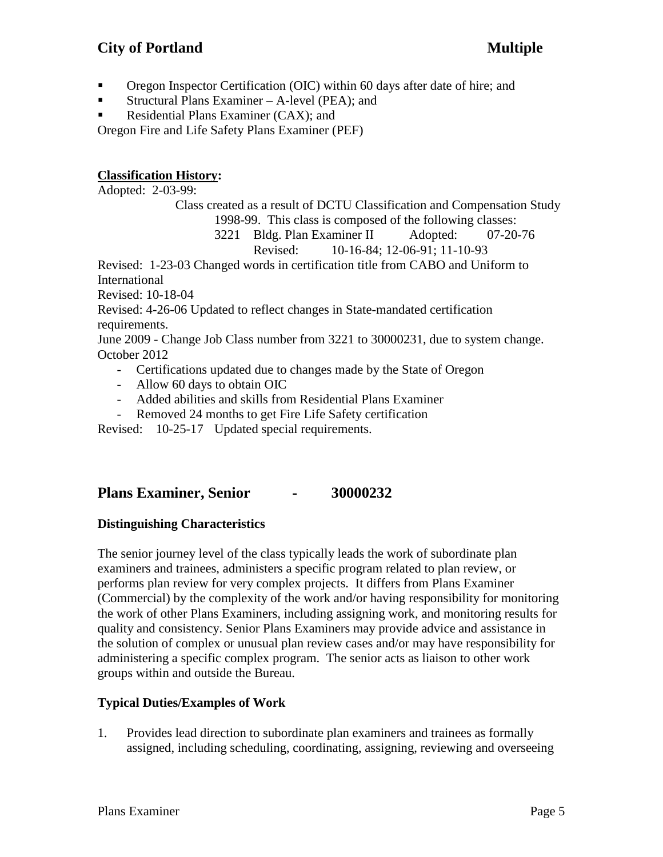# **City of Portland Multiple**

- Oregon Inspector Certification (OIC) within 60 days after date of hire; and
- **•** Structural Plans Examiner A-level (PEA); and
- Residential Plans Examiner (CAX); and

Oregon Fire and Life Safety Plans Examiner (PEF)

# **Classification History:**

Adopted: 2-03-99:

Class created as a result of DCTU Classification and Compensation Study 1998-99. This class is composed of the following classes:

3221 Bldg. Plan Examiner II Adopted: 07-20-76 Revised: 10-16-84; 12-06-91; 11-10-93

Revised: 1-23-03 Changed words in certification title from CABO and Uniform to International

Revised: 10-18-04

Revised: 4-26-06 Updated to reflect changes in State-mandated certification requirements.

June 2009 - Change Job Class number from 3221 to 30000231, due to system change. October 2012

- Certifications updated due to changes made by the State of Oregon
- Allow 60 days to obtain OIC
- Added abilities and skills from Residential Plans Examiner
- Removed 24 months to get Fire Life Safety certification

Revised: 10-25-17 Updated special requirements.

# **Plans Examiner, Senior - 30000232**

# **Distinguishing Characteristics**

The senior journey level of the class typically leads the work of subordinate plan examiners and trainees, administers a specific program related to plan review, or performs plan review for very complex projects. It differs from Plans Examiner (Commercial) by the complexity of the work and/or having responsibility for monitoring the work of other Plans Examiners, including assigning work, and monitoring results for quality and consistency. Senior Plans Examiners may provide advice and assistance in the solution of complex or unusual plan review cases and/or may have responsibility for administering a specific complex program. The senior acts as liaison to other work groups within and outside the Bureau.

# **Typical Duties/Examples of Work**

1. Provides lead direction to subordinate plan examiners and trainees as formally assigned, including scheduling, coordinating, assigning, reviewing and overseeing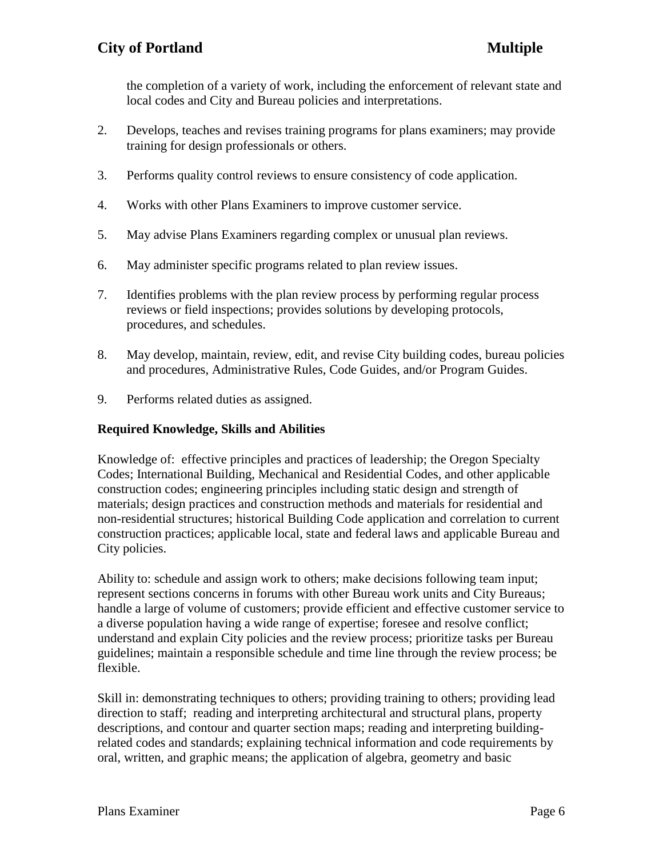the completion of a variety of work, including the enforcement of relevant state and local codes and City and Bureau policies and interpretations.

- 2. Develops, teaches and revises training programs for plans examiners; may provide training for design professionals or others.
- 3. Performs quality control reviews to ensure consistency of code application.
- 4. Works with other Plans Examiners to improve customer service.
- 5. May advise Plans Examiners regarding complex or unusual plan reviews.
- 6. May administer specific programs related to plan review issues.
- 7. Identifies problems with the plan review process by performing regular process reviews or field inspections; provides solutions by developing protocols, procedures, and schedules.
- 8. May develop, maintain, review, edit, and revise City building codes, bureau policies and procedures, Administrative Rules, Code Guides, and/or Program Guides.
- 9. Performs related duties as assigned.

# **Required Knowledge, Skills and Abilities**

Knowledge of: effective principles and practices of leadership; the Oregon Specialty Codes; International Building, Mechanical and Residential Codes, and other applicable construction codes; engineering principles including static design and strength of materials; design practices and construction methods and materials for residential and non-residential structures; historical Building Code application and correlation to current construction practices; applicable local, state and federal laws and applicable Bureau and City policies.

Ability to: schedule and assign work to others; make decisions following team input; represent sections concerns in forums with other Bureau work units and City Bureaus; handle a large of volume of customers; provide efficient and effective customer service to a diverse population having a wide range of expertise; foresee and resolve conflict; understand and explain City policies and the review process; prioritize tasks per Bureau guidelines; maintain a responsible schedule and time line through the review process; be flexible.

Skill in: demonstrating techniques to others; providing training to others; providing lead direction to staff; reading and interpreting architectural and structural plans, property descriptions, and contour and quarter section maps; reading and interpreting buildingrelated codes and standards; explaining technical information and code requirements by oral, written, and graphic means; the application of algebra, geometry and basic